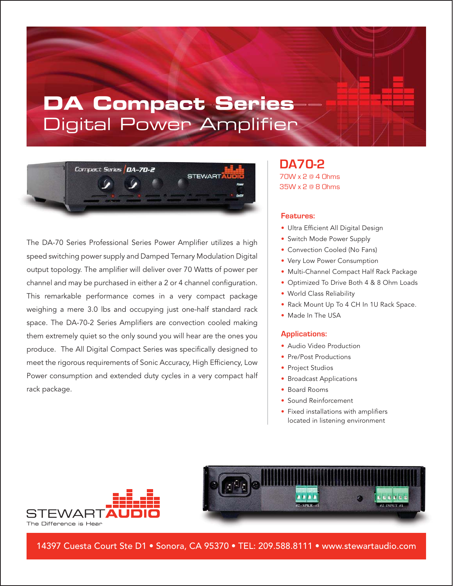# **DA Compact Series** Digital Power Amplifier



The DA-70 Series Professional Series Power Amplifier utilizes a high speed switching power supply and Damped Ternary Modulation Digital output topology. The amplifier will deliver over 70 Watts of power per channel and may be purchased in either a 2 or 4 channel configuration. This remarkable performance comes in a very compact package weighing a mere 3.0 lbs and occupying just one-half standard rack space. The DA-70-2 Series Amplifiers are convection cooled making them extremely quiet so the only sound you will hear are the ones you produce. The All Digital Compact Series was specifically designed to meet the rigorous requirements of Sonic Accuracy, High Efficiency, Low Power consumption and extended duty cycles in a very compact half rack package.

### **DA70-2** 70W x 2 @ 4 Ohms 35W x 2 @ 8 Ohms

#### **Features:**

- Ultra Efficient All Digital Design
- Switch Mode Power Supply
- Convection Cooled (No Fans)
- Very Low Power Consumption
- Multi-Channel Compact Half Rack Package
- Optimized To Drive Both 4 & 8 Ohm Loads
- World Class Reliability
- Rack Mount Up To 4 CH In 1U Rack Space.
- Made In The USA

#### **Applications:**

- Audio Video Production
- Pre/Post Productions
- Project Studios
- Broadcast Applications
- Board Rooms
- Sound Reinforcement
- Fixed installations with amplifiers located in listening environment





14397 Cuesta Court Ste D1 • Sonora, CA 95370 • TEL: 209.588.8111 • www.stewartaudio.com